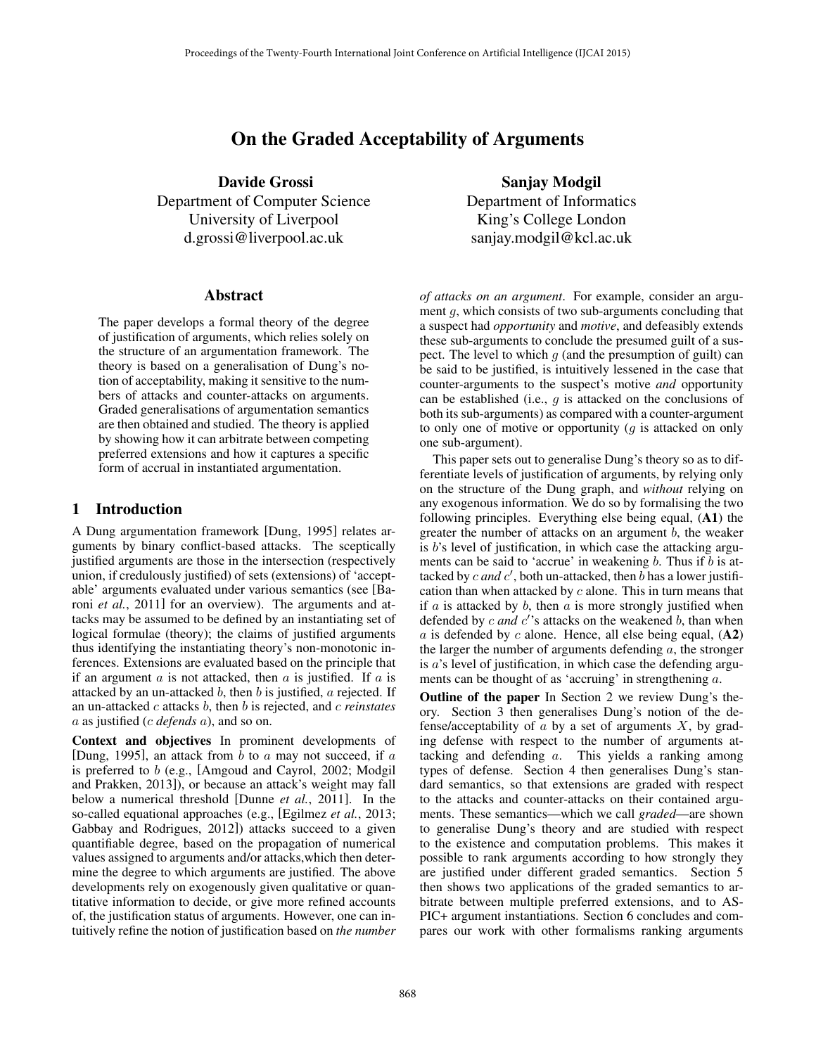# On the Graded Acceptability of Arguments

Davide Grossi Department of Computer Science University of Liverpool d.grossi@liverpool.ac.uk

## Abstract

The paper develops a formal theory of the degree of justification of arguments, which relies solely on the structure of an argumentation framework. The theory is based on a generalisation of Dung's notion of acceptability, making it sensitive to the numbers of attacks and counter-attacks on arguments. Graded generalisations of argumentation semantics are then obtained and studied. The theory is applied by showing how it can arbitrate between competing preferred extensions and how it captures a specific form of accrual in instantiated argumentation.

# 1 Introduction

A Dung argumentation framework [Dung, 1995] relates arguments by binary conflict-based attacks. The sceptically justified arguments are those in the intersection (respectively union, if credulously justified) of sets (extensions) of 'acceptable' arguments evaluated under various semantics (see [Baroni *et al.*, 2011] for an overview). The arguments and attacks may be assumed to be defined by an instantiating set of logical formulae (theory); the claims of justified arguments thus identifying the instantiating theory's non-monotonic inferences. Extensions are evaluated based on the principle that if an argument  $\alpha$  is not attacked, then  $\alpha$  is justified. If  $\alpha$  is attacked by an un-attacked b, then b is justified,  $\alpha$  rejected. If an un-attacked c attacks b, then b is rejected, and c *reinstates* a as justified (c *defends* a), and so on.

Context and objectives In prominent developments of [Dung, 1995], an attack from  $b$  to  $a$  may not succeed, if  $a$ is preferred to b (e.g., [Amgoud and Cayrol, 2002; Modgil and Prakken, 2013]), or because an attack's weight may fall below a numerical threshold [Dunne *et al.*, 2011]. In the so-called equational approaches (e.g., [Egilmez *et al.*, 2013; Gabbay and Rodrigues, 2012]) attacks succeed to a given quantifiable degree, based on the propagation of numerical values assigned to arguments and/or attacks,which then determine the degree to which arguments are justified. The above developments rely on exogenously given qualitative or quantitative information to decide, or give more refined accounts of, the justification status of arguments. However, one can intuitively refine the notion of justification based on *the number*

Sanjay Modgil Department of Informatics King's College London sanjay.modgil@kcl.ac.uk

*of attacks on an argument*. For example, consider an argument q, which consists of two sub-arguments concluding that a suspect had *opportunity* and *motive*, and defeasibly extends these sub-arguments to conclude the presumed guilt of a suspect. The level to which  $q$  (and the presumption of guilt) can be said to be justified, is intuitively lessened in the case that counter-arguments to the suspect's motive *and* opportunity can be established (i.e.,  $g$  is attacked on the conclusions of both its sub-arguments) as compared with a counter-argument to only one of motive or opportunity  $(q$  is attacked on only one sub-argument).

This paper sets out to generalise Dung's theory so as to differentiate levels of justification of arguments, by relying only on the structure of the Dung graph, and *without* relying on any exogenous information. We do so by formalising the two following principles. Everything else being equal, (A1) the greater the number of attacks on an argument  $b$ , the weaker is  $b$ 's level of justification, in which case the attacking arguments can be said to 'accrue' in weakening  $b$ . Thus if  $b$  is attacked by  $c$  *and*  $c'$ , both un-attacked, then  $\overline{b}$  has a lower justification than when attacked by  $c$  alone. This in turn means that if  $a$  is attacked by  $b$ , then  $a$  is more strongly justified when defended by  $c$  *and*  $c'$ 's attacks on the weakened  $b$ , than when  $a$  is defended by  $c$  alone. Hence, all else being equal,  $(A2)$ the larger the number of arguments defending  $a$ , the stronger is a's level of justification, in which case the defending arguments can be thought of as 'accruing' in strengthening a.

Outline of the paper In Section 2 we review Dung's theory. Section 3 then generalises Dung's notion of the defense/acceptability of  $\alpha$  by a set of arguments  $X$ , by grading defense with respect to the number of arguments attacking and defending a. This yields a ranking among types of defense. Section 4 then generalises Dung's standard semantics, so that extensions are graded with respect to the attacks and counter-attacks on their contained arguments. These semantics—which we call *graded*—are shown to generalise Dung's theory and are studied with respect to the existence and computation problems. This makes it possible to rank arguments according to how strongly they are justified under different graded semantics. Section 5 then shows two applications of the graded semantics to arbitrate between multiple preferred extensions, and to AS-PIC+ argument instantiations. Section 6 concludes and compares our work with other formalisms ranking arguments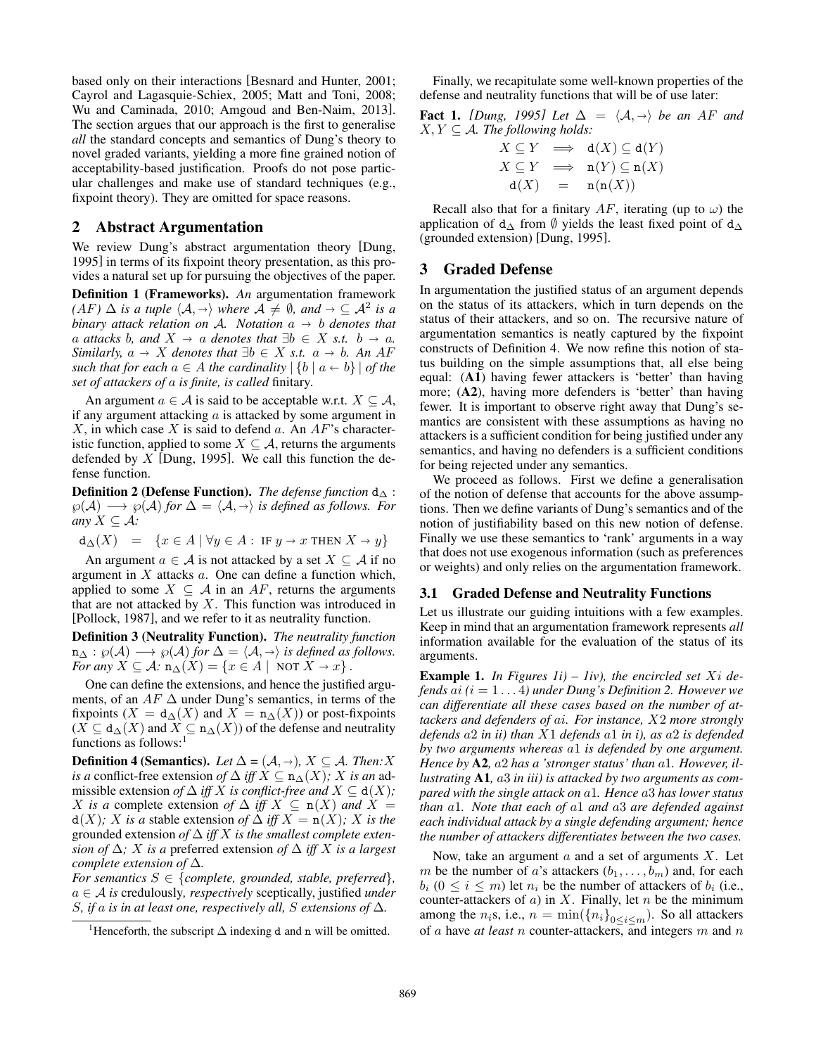based only on their interactions [Besnard and Hunter, 2001; Cayrol and Lagasquie-Schiex, 2005; Matt and Toni, 2008; Wu and Caminada, 2010; Amgoud and Ben-Naim, 2013]. The section argues that our approach is the first to generalise *all* the standard concepts and semantics of Dung's theory to novel graded variants, yielding a more fine grained notion of acceptability-based justification. Proofs do not pose particular challenges and make use of standard techniques (e.g., fixpoint theory). They are omitted for space reasons.

#### 2 Abstract Argumentation

We review Dung's abstract argumentation theory [Dung, 1995] in terms of its fixpoint theory presentation, as this provides a natural set up for pursuing the objectives of the paper.

Definition 1 (Frameworks). *An* argumentation framework  $(AF) \Delta$  *is a tuple*  $\langle A, \rightarrow \rangle$  *where*  $A \neq \emptyset$ *, and*  $\rightarrow \subseteq A^2$  *is a b hinary attack relation on*  $A$ *. Notation a*  $\rightarrow$  *b denotes that binary attack relation on* A. *Notation*  $a \rightarrow b$  *denotes that a attacks b, and*  $X \rightarrow a$  *denotes that*  $\exists b \in X$  *s.t.*  $b \rightarrow a$ *. Similarly,*  $a \rightarrow X$  *denotes that*  $\exists b \in X$  *s.t.*  $a \rightarrow b$ *. An* AF *such that for each*  $a \in A$  *the cardinality*  $|\{b \mid a \leftarrow b\}|$  *of the set of attackers of* a *is finite, is called* finitary*.*

An argument  $a \in \mathcal{A}$  is said to be acceptable w.r.t.  $X \subseteq \mathcal{A}$ , if any argument attacking  $a$  is attacked by some argument in X, in which case X is said to defend a. An  $AF$ 's characteristic function, applied to some  $X \subseteq A$ , returns the arguments defended by  $X$  [Dung, 1995]. We call this function the defense function.

**Definition 2 (Defense Function).** *The defense function*  $d_{\Delta}$ :  $\wp(A)$  →  $\wp(A)$  *for*  $\Delta = \langle A, \rightarrow \rangle$  *is defined as follows. For any*  $X \subseteq \mathcal{A}$ *:* 

$$
d_{\Delta}(X) = \{x \in A \mid \forall y \in A : \text{ IF } y \to x \text{ THEN } X \to y\}
$$

An argument  $a \in \mathcal{A}$  is not attacked by a set  $X \subseteq \mathcal{A}$  if no argument in  $X$  attacks  $a$ . One can define a function which, applied to some  $X \subseteq \mathcal{A}$  in an AF, returns the arguments that are not attacked by  $X$ . This function was introduced in [Pollock, 1987], and we refer to it as neutrality function.

Definition 3 (Neutrality Function). *The neutrality function*  $n_{\Delta} : \wp(\mathcal{A}) \longrightarrow \wp(\mathcal{A})$  *for*  $\Delta = \langle \mathcal{A}, \rightarrow \rangle$  *is defined as follows. For any*  $X \subseteq A$ :  $\mathbf{n}_{\Delta}(X) = \{x \in A \mid \text{NOT } X \to x\}$ .

One can define the extensions, and hence the justified arguments, of an  $AF \Delta$  under Dung's semantics, in terms of the fixpoints ( $X = d_{\Delta}(X)$  and  $X = n_{\Delta}(X)$ ) or post-fixpoints  $(X \subseteq d_{\Delta}(X)$  and  $X \subseteq n_{\Delta}(X)$  of the defense and neutrality functions as follows:<sup>1</sup>

**Definition 4 (Semantics).** *Let*  $\Delta = (\mathcal{A}, \rightarrow)$ ,  $X \subseteq \mathcal{A}$ *. Then:X is a* conflict-free extension *of*  $\Delta$  *iff*  $X \subseteq n_{\Delta}(X)$ *;* X *is an* admissible extension *of*  $\Delta$  *iff* X *is conflict-free and*  $X \subseteq d(X)$ *;* X *is a* complete extension *of*  $\Delta$  *iff*  $X \subseteq n(X)$  *and*  $X =$  $d(X)$ *;* X *is a* stable extension *of*  $\Delta$  *iff*  $X = n(X)$ *;* X *is the* grounded extension *of* ∆ *iff* X *is the smallest complete extension of*  $\Delta$ *;* X *is a* preferred extension *of*  $\Delta$  *iff* X *is a largest complete extension of* ∆*.*

*For semantics*  $S \in \{complete, grounded, stable, preferred\}$ , a ∈ A *is* credulously*, respectively* sceptically, justified *under* S*, if* a *is in at least one, respectively all,* S *extensions of* ∆*.*

Finally, we recapitulate some well-known properties of the defense and neutrality functions that will be of use later:

Fact 1. *[Dung, 1995] Let*  $\Delta = \langle A, \rightarrow \rangle$  *be an AF and*  $X, Y \subseteq A$ *. The following holds:* 

$$
X \subseteq Y \implies d(X) \subseteq d(Y)
$$
  
\n
$$
X \subseteq Y \implies n(Y) \subseteq n(X)
$$
  
\n
$$
d(X) = n(n(X))
$$

Recall also that for a finitary  $AF$ , iterating (up to  $\omega$ ) the application of  $d_{\Delta}$  from  $\emptyset$  yields the least fixed point of  $d_{\Delta}$ (grounded extension) [Dung, 1995].

## 3 Graded Defense

In argumentation the justified status of an argument depends on the status of its attackers, which in turn depends on the status of their attackers, and so on. The recursive nature of argumentation semantics is neatly captured by the fixpoint constructs of Definition 4. We now refine this notion of status building on the simple assumptions that, all else being equal: (A1) having fewer attackers is 'better' than having more; (A2), having more defenders is 'better' than having fewer. It is important to observe right away that Dung's semantics are consistent with these assumptions as having no attackers is a sufficient condition for being justified under any semantics, and having no defenders is a sufficient conditions for being rejected under any semantics.

We proceed as follows. First we define a generalisation of the notion of defense that accounts for the above assumptions. Then we define variants of Dung's semantics and of the notion of justifiability based on this new notion of defense. Finally we use these semantics to 'rank' arguments in a way that does not use exogenous information (such as preferences or weights) and only relies on the argumentation framework.

#### 3.1 Graded Defense and Neutrality Functions

Let us illustrate our guiding intuitions with a few examples. Keep in mind that an argumentation framework represents *all* information available for the evaluation of the status of its arguments.

Example 1. *In Figures 1i) – 1iv), the encircled set* Xi *defends* ai *(*i = 1 . . . 4*) under Dung's Definition 2. However we can differentiate all these cases based on the number of attackers and defenders of* ai*. For instance,* X2 *more strongly defends* a2 *in ii) than* X1 *defends* a1 *in i), as* a2 *is defended by two arguments whereas* a1 *is defended by one argument. Hence by* A2*,* a2 *has a 'stronger status' than* a1*. However, illustrating* A1*,* a3 *in iii) is attacked by two arguments as compared with the single attack on* a1*. Hence* a3 *has lower status than* a1*. Note that each of* a1 *and* a3 *are defended against each individual attack by a single defending argument; hence the number of attackers differentiates between the two cases.*

Now, take an argument  $a$  and a set of arguments  $X$ . Let m be the number of a's attackers  $(b_1, \ldots, b_m)$  and, for each  $b_i$  ( $0 \le i \le m$ ) let  $n_i$  be the number of attackers of  $b_i$  (i.e., counter-attackers of  $a$ ) in  $X$ . Finally, let  $n$  be the minimum among the  $n_i$ s, i.e.,  $n = \min(\{n_i\}_{0 \le i \le m})$ . So all attackers of a have *at least* n counter-attackers, and integers m and n

<sup>&</sup>lt;sup>1</sup>Henceforth, the subscript  $\Delta$  indexing d and n will be omitted.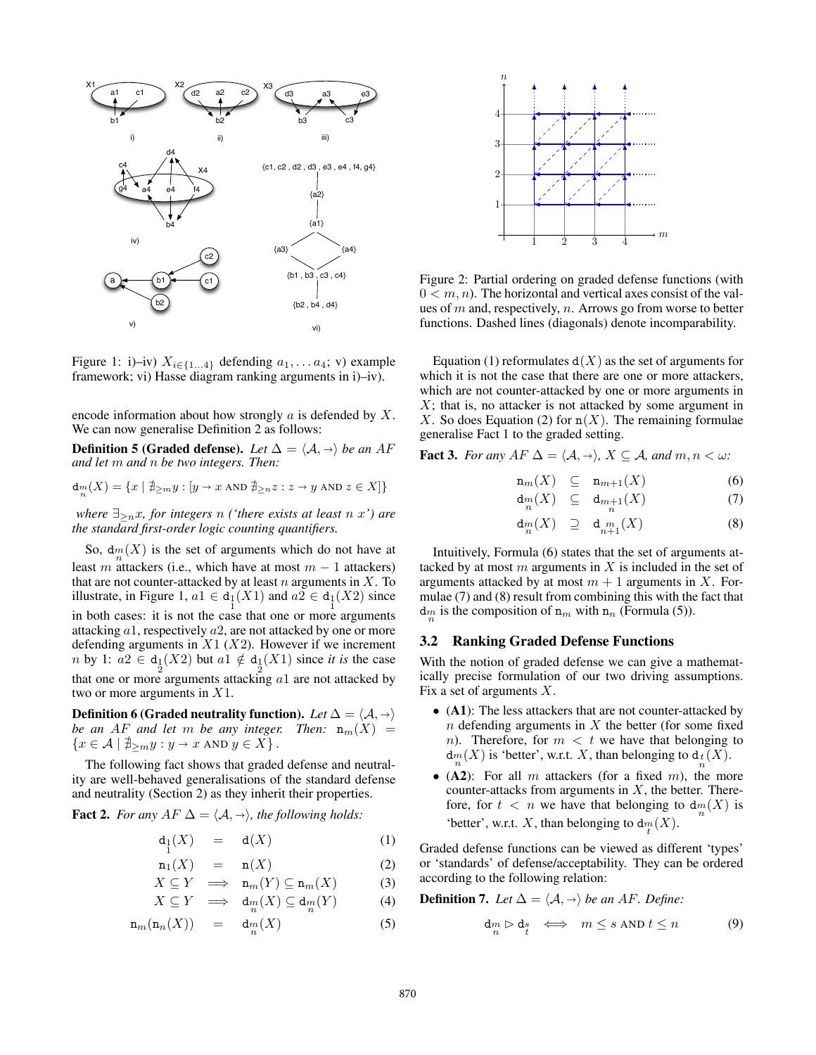

Figure 1: i)–iv)  $X_{i \in \{1...4\}}$  defending  $a_1, \ldots a_4$ ; v) example framework; vi) Hasse diagram ranking arguments in i)–iv).

encode information about how strongly  $a$  is defended by  $X$ . We can now generalise Definition 2 as follows:

**Definition 5 (Graded defense).** Let  $\Delta = \langle A, \rightarrow \rangle$  be an AF *and let* m *and* n *be two integers. Then:*

$$
\mathbf{d}_n(X) = \{ x \mid \nexists_{\geq m} y : [y \to x \text{ AND } \nexists_{\geq n} z : z \to y \text{ AND } z \in X] \}
$$

*where*  $\exists_{\geq n}$ *x, for integers n ('there exists at least n x')* are *the standard first-order logic counting quantifiers.*

So,  $d_m(X)$  is the set of arguments which do not have at least m attackers (i.e., which have at most  $m - 1$  attackers) that are not counter-attacked by at least  $n$  arguments in  $X$ . To illustrate, in Figure 1,  $a1 \in d_1(X1)$  and  $a2 \in d_1(X2)$  since in both cases: it is not the case that one or more arguments attacking a1, respectively a2, are not attacked by one or more defending arguments in  $X1$  ( $X2$ ). However if we increment *n* by 1:  $a2 \in d_1(X2)$  but  $a1 \notin d_1(X1)$  since *it is* the case that one or more arguments attacking  $a1$  are not attacked by two or more arguments in X1.

Definition 6 (Graded neutrality function). Let  $\Delta = \langle A, \rightarrow \rangle$ *be an AF and let* m *be any integer. Then:*  $n_m(X)$  =  $\{x \in \mathcal{A} \mid \exists_{\geq m} y : y \to x \text{ AND } y \in X\}.$ 

The following fact shows that graded defense and neutrality are well-behaved generalisations of the standard defense and neutrality (Section 2) as they inherit their properties.

**Fact 2.** *For any*  $AF \Delta = \langle A, \rightarrow \rangle$ *, the following holds:* 

$$
\mathbf{d}_1(X) = \mathbf{d}(X) \tag{1}
$$

$$
n_1(X) = n(X) \tag{2}
$$

$$
X \subseteq Y \implies \mathbf{n}_m(Y) \subseteq \mathbf{n}_m(X) \tag{3}
$$

$$
X \subseteq Y \implies \mathsf{d}_m(X) \subseteq \mathsf{d}_m(Y) \tag{4}
$$

$$
\mathbf{n}_m(\mathbf{n}_n(X)) = \mathbf{d}_m(X) \tag{5}
$$



Figure 2: Partial ordering on graded defense functions (with  $0 < m, n$ ). The horizontal and vertical axes consist of the values of  $m$  and, respectively,  $n$ . Arrows go from worse to better functions. Dashed lines (diagonals) denote incomparability.

Equation (1) reformulates  $d(X)$  as the set of arguments for which it is not the case that there are one or more attackers, which are not counter-attacked by one or more arguments in  $X$ ; that is, no attacker is not attacked by some argument in X. So does Equation (2) for  $n(X)$ . The remaining formulae generalise Fact 1 to the graded setting.

**Fact 3.** *For any*  $AF \Delta = \langle A, \rightarrow \rangle$ ,  $X \subseteq A$ *, and*  $m, n < \omega$ *:* 

$$
\mathbf{n}_m(X) \quad \subseteq \quad \mathbf{n}_{m+1}(X) \tag{6}
$$

$$
\mathsf{d}_n^m(X) \quad \subseteq \quad \mathsf{d}_{m+1}(X) \tag{7}
$$

$$
\mathsf{d}_m(X) \quad \supseteq \quad \mathsf{d}_m_{n+1}(X) \tag{8}
$$

Intuitively, Formula (6) states that the set of arguments attacked by at most  $m$  arguments in  $X$  is included in the set of arguments attacked by at most  $m + 1$  arguments in X. Formulae (7) and (8) result from combining this with the fact that  $d_m$  is the composition of  $n_m$  with  $n_n$  (Formula (5)).

#### 3.2 Ranking Graded Defense Functions

With the notion of graded defense we can give a mathematically precise formulation of our two driving assumptions. Fix a set of arguments  $X$ .

- (A1): The less attackers that are not counter-attacked by  $n$  defending arguments in  $X$  the better (for some fixed n). Therefore, for  $m < t$  we have that belonging to  $d_m(X)$  is 'better', w.r.t. X, than belonging to  $d_t(X)$ .
- (A2): For all m attackers (for a fixed m), the more counter-attacks from arguments in  $X$ , the better. Therefore, for  $t < n$  we have that belonging to  $d_m(X)$  is 'better', w.r.t. X, than belonging to  $d_m(X)$ .

Graded defense functions can be viewed as different 'types' or 'standards' of defense/acceptability. They can be ordered according to the following relation:

**Definition 7.** *Let*  $\Delta = \langle A, \rightarrow \rangle$  *be an AF. Define:* 

$$
\mathsf{d}_m \triangleright \mathsf{d}_s \quad \Longleftrightarrow \quad m \leq s \text{ AND } t \leq n \tag{9}
$$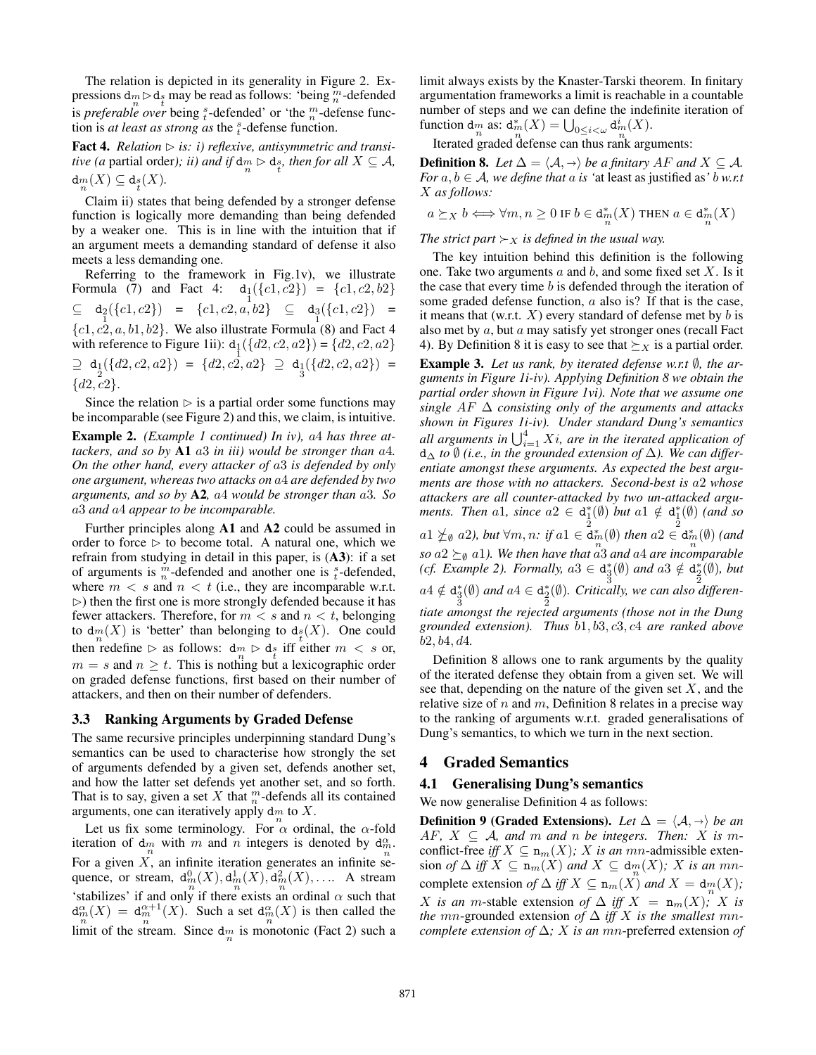The relation is depicted in its generality in Figure 2. Expressions  $d_m \triangleright d_{\frac{r}{t}}$  may be read as follows: 'being  $\frac{m}{n}$ -defended is *preferable over* being  $\frac{s}{t}$ -defended' or 'the  $\frac{m}{n}$ -defense function is *at least as strong as* the  $\frac{s}{t}$ -defense function.

**Fact 4.** *Relation*  $\triangleright$  *is: i) reflexive, antisymmetric and transitive (a partial order); ii) and if*  $d_m \triangleright d_s$  *then for all*  $X \subseteq A$ *,*  $\operatorname{d}_m_m(X) \subseteq \operatorname{d}_{\operatorname{f}\!} (X).$ 

Claim ii) states that being defended by a stronger defense function is logically more demanding than being defended by a weaker one. This is in line with the intuition that if an argument meets a demanding standard of defense it also meets a less demanding one.

Referring to the framework in Fig.1v), we illustrate Formula (7) and Fact 4:  $d_1({c1, c2}) = {c1, c2, b2}$  $\subseteq$   $d_2({c1, c2}) = {c1, c2, a, b2} \subseteq d_3({c1, c2}) =$  ${c_1, c_2, a, b_1, b_2}$ . We also illustrate Formula (8) and Fact 4 with reference to Figure 1ii):  $d_1({d_2, c_2, a_2}) = {d_2, c_2, a_2}$  $\supseteq d_1({d2, c2, a2}) = {d2, c2, a2} \supseteq d_1({d2, c2, a2}) =$  ${d2, c2}.$ 

Since the relation  $\triangleright$  is a partial order some functions may be incomparable (see Figure 2) and this, we claim, is intuitive.

Example 2. *(Example 1 continued) In iv),* a4 *has three attackers, and so by* A1 a3 *in iii) would be stronger than* a4*. On the other hand, every attacker of* a3 *is defended by only one argument, whereas two attacks on* a4 *are defended by two arguments, and so by* A2*,* a4 *would be stronger than* a3*. So* a3 *and* a4 *appear to be incomparable.*

Further principles along A1 and A2 could be assumed in order to force  $\triangleright$  to become total. A natural one, which we refrain from studying in detail in this paper, is (A3): if a set of arguments is  $\frac{m}{n}$ -defended and another one is  $\frac{s}{t}$ -defended, where  $m < s$  and  $n < t$  (i.e., they are incomparable w.r.t.  $\triangleright$ ) then the first one is more strongly defended because it has fewer attackers. Therefore, for  $m < s$  and  $n < t$ , belonging to  $d_m(X)$  is 'better' than belonging to  $d_f(X)$ . One could then redefine  $\triangleright$  as follows:  $\frac{dm}{n} \triangleright \frac{ds}{t}$  iff either  $m < s$  or,  $m = s$  and  $n \geq t$ . This is nothing but a lexicographic order on graded defense functions, first based on their number of attackers, and then on their number of defenders.

#### 3.3 Ranking Arguments by Graded Defense

The same recursive principles underpinning standard Dung's semantics can be used to characterise how strongly the set of arguments defended by a given set, defends another set, and how the latter set defends yet another set, and so forth. That is to say, given a set  $X$  that  $_n^n$ -defends all its contained arguments, one can iteratively apply  $\dim_n$  to X.

Let us fix some terminology. For  $\alpha$  ordinal, the  $\alpha$ -fold iteration of  $\frac{dm}{n}$  with m and n integers is denoted by  $\frac{d_m^n}{n}$ For a given  $X$ , an infinite iteration generates an infinite sequence, or stream,  $d_m^0(X)$ ,  $d_m^1(X)$ ,  $d_m^2(X)$ , ..... A stream 'stabilizes' if and only if there exists an ordinal  $\alpha$  such that  $d_m^{\alpha}(X) = d_m^{\alpha+1}(X)$ . Such a set  $d_m^{\alpha}(X)$  is then called the limit of the stream. Since  $\dim_n$  is monotonic (Fact 2) such a limit always exists by the Knaster-Tarski theorem. In finitary argumentation frameworks a limit is reachable in a countable number of steps and we can define the indefinite iteration of function  $\dim_n$  as:  $\dim_n^*(X) = \bigcup_{0 \le i < \omega} \dim_n^i(X)$ .

Iterated graded defense can thus rank arguments:

**Definition 8.** *Let*  $\Delta = \langle A, \rightarrow \rangle$  *be a finitary* AF *and*  $X \subseteq A$ *. For*  $a, b \in A$ *, we define that*  $a$  *is 'at least as justified as' b w.r.t* X *as follows:*

$$
a \succeq_X b \Longleftrightarrow \forall m,n \geq 0 \text{ if } b \in \operatorname{d}^*_m(X) \text{ then } a \in \operatorname{d}^*_m(X)
$$

*The strict part*  $\succ_X$  *is defined in the usual way.* 

The key intuition behind this definition is the following one. Take two arguments  $a$  and  $b$ , and some fixed set  $X$ . Is it the case that every time  $b$  is defended through the iteration of some graded defense function, a also is? If that is the case, it means that (w.r.t.  $X$ ) every standard of defense met by b is also met by a, but a may satisfy yet stronger ones (recall Fact 4). By Definition 8 it is easy to see that  $\succeq_X$  is a partial order.

Example 3. *Let us rank, by iterated defense w.r.t* ∅*, the arguments in Figure 1i-iv). Applying Definition 8 we obtain the partial order shown in Figure 1vi). Note that we assume one single* AF ∆ *consisting only of the arguments and attacks shown in Figures 1i-iv). Under standard Dung's semantics* all arguments in  $\bigcup_{i=1}^4 X_i$ , are in the iterated application of d<sup>∆</sup> *to* ∅ *(i.e., in the grounded extension of* ∆*). We can differentiate amongst these arguments. As expected the best arguments are those with no attackers. Second-best is* a2 *whose attackers are all counter-attacked by two un-attacked arguments. Then* a1*, since*  $a2 \in d_{\frac{1}{2}}^{*}(\emptyset)$  *but*  $a1 \notin d_{\frac{1}{2}}^{*}(\emptyset)$  (and so  $a_1 \nleq_0 a_2$ ), but  $\forall m, n$ : if  $a_1 \in \mathbf{d}_{m}^{*}(\emptyset)$  then  $a_2 \in \mathbf{d}_{m}^{*}(\emptyset)$  (and *so*  $a2 \succeq_{\emptyset} a1$ *). We then have that*  $a3$  *and*  $a4$  *are incomparable* (*cf. Example 2*). Formally,  $a3 \in d_3^*(\emptyset)$  and  $a3 \notin d_2^*(\emptyset)$ , but  $a4 \notin \text{d}_{\frac{3}{3}}^{*}(\emptyset)$  and  $a4 \in \text{d}_{\frac{2}{2}}^{*}(\emptyset)$ . Critically, we can also differen*tiate amongst the rejected arguments (those not in the Dung grounded extension). Thus* b1, b3, c3, c4 *are ranked above* b2, b4, d4*.*

Definition 8 allows one to rank arguments by the quality of the iterated defense they obtain from a given set. We will see that, depending on the nature of the given set  $X$ , and the relative size of  $n$  and  $m$ , Definition 8 relates in a precise way to the ranking of arguments w.r.t. graded generalisations of Dung's semantics, to which we turn in the next section.

## 4 Graded Semantics

#### 4.1 Generalising Dung's semantics

We now generalise Definition 4 as follows:

**Definition 9 (Graded Extensions).** *Let*  $\Delta = \langle A, \rightarrow \rangle$  *be an* AF,  $X \subseteq A$ , and m and n be integers. Then: X is mconflict-free *iff*  $X \subseteq \mathbf{n}_m(X)$ ; X *is an mn*-admissible extension *of*  $\Delta$  *iff*  $X \subseteq \mathbf{n}_m(X)$  *and*  $X \subseteq \mathbf{d}_m(X)$ *;* X *is an mn*complete extension *of*  $\Delta$  *iff*  $X \subseteq n_m(X)$  *and*  $X = d_m(X)$ ; X *is an* m-stable extension of  $\Delta$  *iff*  $X = n_m(X)$ ; X *is the mn*-grounded extension of  $\Delta$  *iff* X *is the smallest mncomplete extension of* ∆*;* X *is an* mn-preferred extension *of*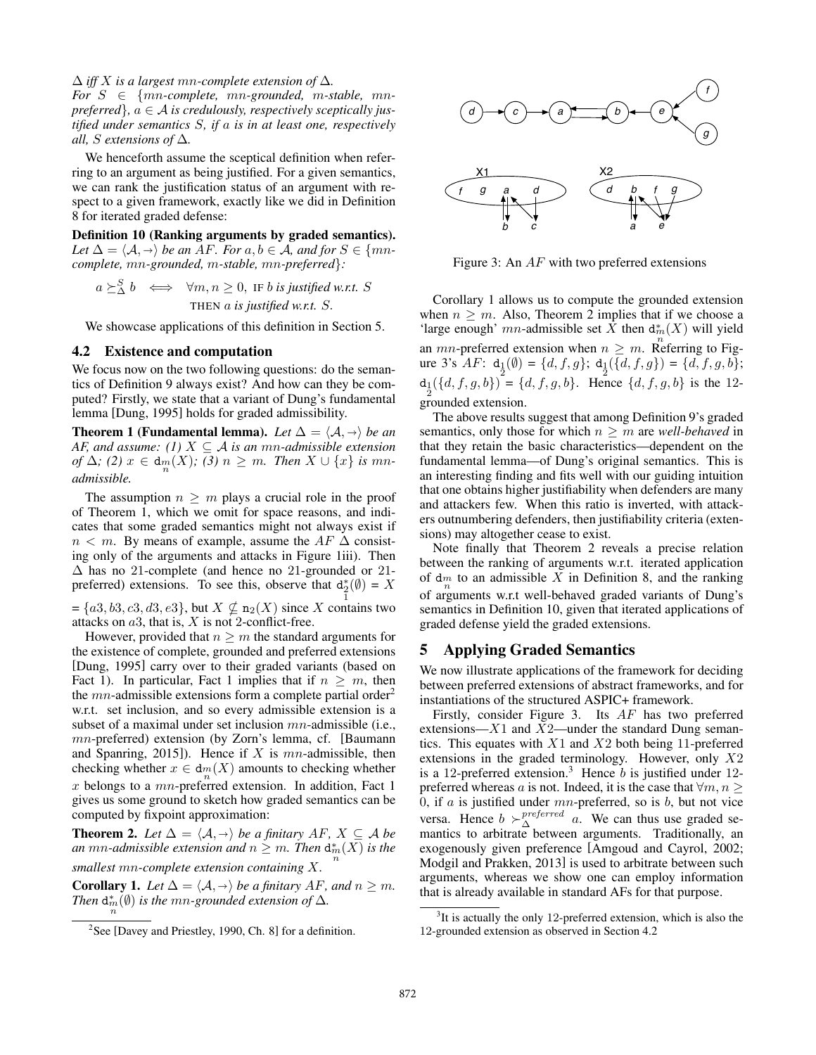#### ∆ *iff* X *is a largest* mn*-complete extension of* ∆*.*

 $For S \in \{mn\text{-complete}, mn\text{-}grounded, m\text{-}stable, mn\}$  $$ *tified under semantics* S*, if* a *is in at least one, respectively all, S extensions of*  $\Delta$ *.* 

We henceforth assume the sceptical definition when referring to an argument as being justified. For a given semantics, we can rank the justification status of an argument with respect to a given framework, exactly like we did in Definition 8 for iterated graded defense:

Definition 10 (Ranking arguments by graded semantics). Let  $\Delta = \langle A, \rightarrow \rangle$  be an AF. For  $a, b \in A$ , and for  $S \in \{mn\}$ *complete,* mn*-grounded,* m*-stable,* mn*-preferred*}*:*

$$
a \succeq_{\Delta}^{S} b \iff \forall m, n \ge 0, \text{ IF } b \text{ is justified w.r.t. } S
$$
  
THEN a is justified w.r.t. S.

We showcase applications of this definition in Section 5.

#### 4.2 Existence and computation

We focus now on the two following questions: do the semantics of Definition 9 always exist? And how can they be computed? Firstly, we state that a variant of Dung's fundamental lemma [Dung, 1995] holds for graded admissibility.

**Theorem 1 (Fundamental lemma).** Let  $\Delta = \langle A, \rightarrow \rangle$  be an *AF, and assume:* (1)  $X \subseteq \mathcal{A}$  *is an mn-admissible extension of*  $\Delta$ *;* (2)  $x \in d_m(X)$ *;* (3)  $n \geq m$ *. Then*  $X \cup \{x\}$  *is mnadmissible.*

The assumption  $n \geq m$  plays a crucial role in the proof of Theorem 1, which we omit for space reasons, and indicates that some graded semantics might not always exist if  $n < m$ . By means of example, assume the AF  $\Delta$  consisting only of the arguments and attacks in Figure 1iii). Then ∆ has no 21-complete (and hence no 21-grounded or 21 preferred) extensions. To see this, observe that  $d_2^*(\emptyset) = X$ 1

 $=\{a3, b3, c3, d3, e3\}$ , but  $X \nsubseteq n_2(X)$  since X contains two attacks on  $a3$ , that is,  $X$  is not 2-conflict-free.

However, provided that  $n \geq m$  the standard arguments for the existence of complete, grounded and preferred extensions [Dung, 1995] carry over to their graded variants (based on Fact 1). In particular, Fact 1 implies that if  $n \geq m$ , then the  $mn$ -admissible extensions form a complete partial order<sup>2</sup> w.r.t. set inclusion, and so every admissible extension is a subset of a maximal under set inclusion  $mn$ -admissible (i.e., mn-preferred) extension (by Zorn's lemma, cf. [Baumann] and Spanring, 2015]). Hence if  $X$  is  $mn$ -admissible, then checking whether  $x \in dm(X)$  amounts to checking whether  $x$  belongs to a  $mn$ -preferred extension. In addition, Fact 1 gives us some ground to sketch how graded semantics can be computed by fixpoint approximation:

**Theorem 2.** *Let*  $\Delta = \langle A, \rightarrow \rangle$  *be a finitary*  $AF, X \subseteq A$  *be an* mn-*admissible extension and*  $n \geq m$ *. Then*  $d_m^*(X)$  *is the smallest* mn*-complete extension containing* X*.*

**Corollary 1.** *Let*  $\Delta = \langle A, \rightarrow \rangle$  *be a finitary* AF, and  $n \ge m$ *. Then*  $d_{m}^{*}(\emptyset)$  *is the mn-grounded extension of*  $\Delta$ *.* 



Figure 3: An  $AF$  with two preferred extensions

Corollary 1 allows us to compute the grounded extension when  $n \geq m$ . Also, Theorem 2 implies that if we choose a 'large enough' mn-admissible set  $\overline{X}$  then  $d_m^*(X)$  will yield an *mn*-preferred extension when  $n \geq m$ . Referring to Figure 3's  $AF: d_1(\emptyset) = \{d, f, g\}; d_1(\{d, f, g\}) = \{d, f, g, b\};$  $d_1(\{d, f, g, b\}) = \{d, f, g, b\}.$  Hence  $\{d, f, g, b\}$  is the 12grounded extension.

The above results suggest that among Definition 9's graded semantics, only those for which  $n \geq m$  are *well-behaved* in that they retain the basic characteristics—dependent on the fundamental lemma—of Dung's original semantics. This is an interesting finding and fits well with our guiding intuition that one obtains higher justifiability when defenders are many and attackers few. When this ratio is inverted, with attackers outnumbering defenders, then justifiability criteria (extensions) may altogether cease to exist.

Note finally that Theorem 2 reveals a precise relation between the ranking of arguments w.r.t. iterated application of  $\dim_n$  to an admissible X in Definition 8, and the ranking of arguments w.r.t well-behaved graded variants of Dung's semantics in Definition 10, given that iterated applications of graded defense yield the graded extensions.

## 5 Applying Graded Semantics

We now illustrate applications of the framework for deciding between preferred extensions of abstract frameworks, and for instantiations of the structured ASPIC+ framework.

Firstly, consider Figure 3. Its AF has two preferred extensions— $X1$  and  $X2$ —under the standard Dung semantics. This equates with  $X1$  and  $X2$  both being 11-preferred extensions in the graded terminology. However, only  $X2$ is a 12-preferred extension.<sup>3</sup> Hence  $b$  is justified under 12preferred whereas a is not. Indeed, it is the case that  $\forall m, n \geq 1$ 0, if  $a$  is justified under  $mn$ -preferred, so is  $b$ , but not vice versa. Hence  $b \succ_{\Delta}^{preferred} a$ . We can thus use graded semantics to arbitrate between arguments. Traditionally, an exogenously given preference [Amgoud and Cayrol, 2002; Modgil and Prakken, 2013] is used to arbitrate between such arguments, whereas we show one can employ information that is already available in standard AFs for that purpose.

<sup>&</sup>lt;sup>2</sup>See [Davey and Priestley, 1990, Ch. 8] for a definition.

 $3$ It is actually the only 12-preferred extension, which is also the 12-grounded extension as observed in Section 4.2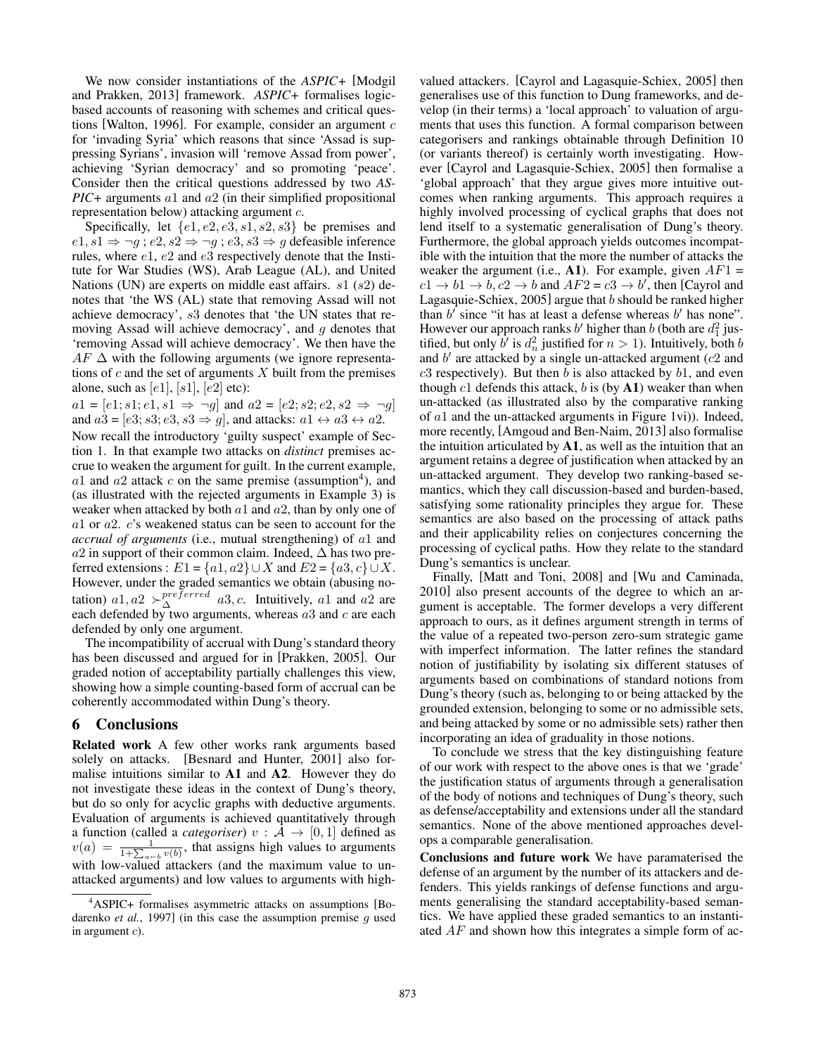We now consider instantiations of the *ASPIC+* [Modgil and Prakken, 2013] framework. *ASPIC+* formalises logicbased accounts of reasoning with schemes and critical questions [Walton, 1996]. For example, consider an argument  $c$ for 'invading Syria' which reasons that since 'Assad is suppressing Syrians', invasion will 'remove Assad from power', achieving 'Syrian democracy' and so promoting 'peace'. Consider then the critical questions addressed by two *AS-PIC+* arguments a1 and a2 (in their simplified propositional representation below) attacking argument c.

Specifically, let  $\{e1, e2, e3, s1, s2, s3\}$  be premises and  $e1, s1 \Rightarrow \neg g$ ;  $e2, s2 \Rightarrow \neg g$ ;  $e3, s3 \Rightarrow g$  defeasible inference rules, where  $e1$ ,  $e2$  and  $e3$  respectively denote that the Institute for War Studies (WS), Arab League (AL), and United Nations (UN) are experts on middle east affairs.  $s1$  ( $s2$ ) denotes that 'the WS (AL) state that removing Assad will not achieve democracy', s3 denotes that 'the UN states that removing Assad will achieve democracy', and  $g$  denotes that 'removing Assad will achieve democracy'. We then have the  $AF \Delta$  with the following arguments (we ignore representations of  $c$  and the set of arguments  $X$  built from the premises alone, such as  $[e1]$ ,  $[s1]$ ,  $[e2]$  etc):

 $a1 = [e1; s1; e1, s1 \Rightarrow \neg g]$  and  $a2 = [e2; s2; e2, s2 \Rightarrow \neg g]$ and  $a3 = [e3; s3; e3, s3 \Rightarrow g]$ , and attacks:  $a1 \leftrightarrow a3 \leftrightarrow a2$ .

Now recall the introductory 'guilty suspect' example of Section 1. In that example two attacks on *distinct* premises accrue to weaken the argument for guilt. In the current example,  $a1$  and  $a2$  attack c on the same premise (assumption<sup>4</sup>), and (as illustrated with the rejected arguments in Example 3) is weaker when attacked by both  $a1$  and  $a2$ , than by only one of a1 or a2. c's weakened status can be seen to account for the *accrual of arguments* (i.e., mutual strengthening) of a1 and  $a2$  in support of their common claim. Indeed,  $\Delta$  has two preferred extensions :  $E1 = \{a1, a2\} \cup X$  and  $E2 = \{a3, c\} \cup X$ . However, under the graded semantics we obtain (abusing notation)  $a1, a2 \succ^{\text{preferred}}_{\Delta} a3, c$ . Intuitively,  $a1$  and  $a2$  are each defended by two arguments, whereas  $a3$  and  $c$  are each defended by only one argument.

The incompatibility of accrual with Dung's standard theory has been discussed and argued for in [Prakken, 2005]. Our graded notion of acceptability partially challenges this view, showing how a simple counting-based form of accrual can be coherently accommodated within Dung's theory.

# 6 Conclusions

Related work A few other works rank arguments based solely on attacks. [Besnard and Hunter, 2001] also formalise intuitions similar to A1 and A2. However they do not investigate these ideas in the context of Dung's theory, but do so only for acyclic graphs with deductive arguments. Evaluation of arguments is achieved quantitatively through a function (called a *categoriser*)  $v : A \rightarrow [0, 1]$  defined as  $v(a) = \frac{1}{1+\sum_{a \in b} v(b)}$ , that assigns high values to arguments with low-valued attackers (and the maximum value to unattacked arguments) and low values to arguments with highvalued attackers. [Cayrol and Lagasquie-Schiex, 2005] then generalises use of this function to Dung frameworks, and develop (in their terms) a 'local approach' to valuation of arguments that uses this function. A formal comparison between categorisers and rankings obtainable through Definition 10 (or variants thereof) is certainly worth investigating. However [Cayrol and Lagasquie-Schiex, 2005] then formalise a 'global approach' that they argue gives more intuitive outcomes when ranking arguments. This approach requires a highly involved processing of cyclical graphs that does not lend itself to a systematic generalisation of Dung's theory. Furthermore, the global approach yields outcomes incompatible with the intuition that the more the number of attacks the weaker the argument (i.e.,  $\mathbf{A1}$ ). For example, given  $AF1 =$  $c1 \rightarrow b1 \rightarrow b$ ,  $c2 \rightarrow b$  and  $AF2 = c3 \rightarrow b'$ , then [Cayrol and Lagasquie-Schiex,  $2005$ ] argue that  $b$  should be ranked higher than  $b'$  since "it has at least a defense whereas  $b'$  has none". However our approach ranks b' higher than b (both are  $d_1^2$  justified, but only  $b'$  is  $d_n^2$  justified for  $n > 1$ ). Intuitively, both b and  $b'$  are attacked by a single un-attacked argument ( $c2$  and  $c3$  respectively). But then b is also attacked by  $b1$ , and even though  $c1$  defends this attack,  $b$  is (by  $A1$ ) weaker than when un-attacked (as illustrated also by the comparative ranking of a1 and the un-attacked arguments in Figure 1vi)). Indeed, more recently, [Amgoud and Ben-Naim, 2013] also formalise the intuition articulated by  $A1$ , as well as the intuition that an argument retains a degree of justification when attacked by an un-attacked argument. They develop two ranking-based semantics, which they call discussion-based and burden-based, satisfying some rationality principles they argue for. These semantics are also based on the processing of attack paths and their applicability relies on conjectures concerning the processing of cyclical paths. How they relate to the standard Dung's semantics is unclear.

Finally, [Matt and Toni, 2008] and [Wu and Caminada, 2010] also present accounts of the degree to which an argument is acceptable. The former develops a very different approach to ours, as it defines argument strength in terms of the value of a repeated two-person zero-sum strategic game with imperfect information. The latter refines the standard notion of justifiability by isolating six different statuses of arguments based on combinations of standard notions from Dung's theory (such as, belonging to or being attacked by the grounded extension, belonging to some or no admissible sets, and being attacked by some or no admissible sets) rather then incorporating an idea of graduality in those notions.

To conclude we stress that the key distinguishing feature of our work with respect to the above ones is that we 'grade' the justification status of arguments through a generalisation of the body of notions and techniques of Dung's theory, such as defense/acceptability and extensions under all the standard semantics. None of the above mentioned approaches develops a comparable generalisation.

Conclusions and future work We have paramaterised the defense of an argument by the number of its attackers and defenders. This yields rankings of defense functions and arguments generalising the standard acceptability-based semantics. We have applied these graded semantics to an instantiated AF and shown how this integrates a simple form of ac-

<sup>4</sup>ASPIC+ formalises asymmetric attacks on assumptions [Bodarenko *et al.*, 1997] (in this case the assumption premise g used in argument c).